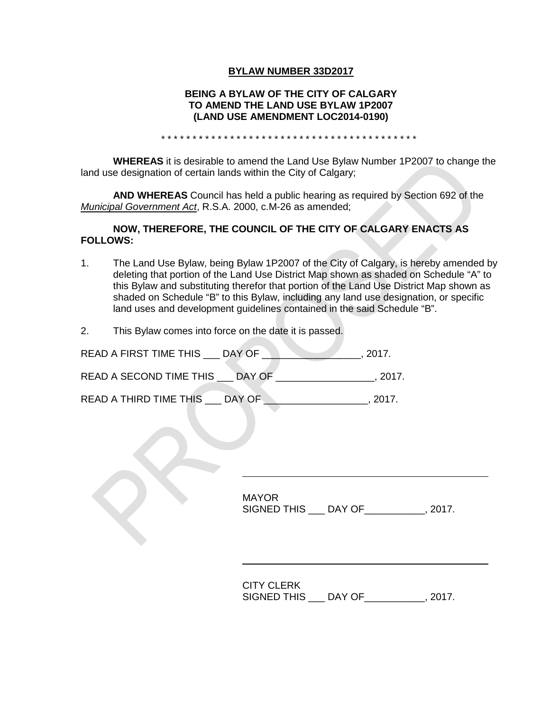### **BYLAW NUMBER 33D2017**

### **BEING A BYLAW OF THE CITY OF CALGARY TO AMEND THE LAND USE BYLAW 1P2007 (LAND USE AMENDMENT LOC2014-0190)**

\* \* \* \* \* \* \* \* \* \* \* \* \* \* \* \* \* \* \* \* \* \* \* \* \* \* \* \* \* \* \* \* \* \* \* \* \* \* \* \* \*

**WHEREAS** it is desirable to amend the Land Use Bylaw Number 1P2007 to change the land use designation of certain lands within the City of Calgary;

**AND WHEREAS** Council has held a public hearing as required by Section 692 of the *Municipal Government Act*, R.S.A. 2000, c.M-26 as amended;

### **NOW, THEREFORE, THE COUNCIL OF THE CITY OF CALGARY ENACTS AS FOLLOWS:**

- 1. The Land Use Bylaw, being Bylaw 1P2007 of the City of Calgary, is hereby amended by deleting that portion of the Land Use District Map shown as shaded on Schedule "A" to this Bylaw and substituting therefor that portion of the Land Use District Map shown as shaded on Schedule "B" to this Bylaw, including any land use designation, or specific land uses and development guidelines contained in the said Schedule "B".
- 2. This Bylaw comes into force on the date it is passed.

| READ A FIRST TIME THIS  | DAY OF | 2017. |
|-------------------------|--------|-------|
| READ A SECOND TIME THIS | DAY OF | 2017. |

READ A THIRD TIME THIS \_\_\_ DAY OF \_\_\_\_\_\_\_\_\_\_\_\_\_\_\_\_\_\_, 2017.

MAYOR SIGNED THIS \_\_\_ DAY OF\_\_\_\_\_\_\_\_\_\_\_, 2017.

CITY CLERK SIGNED THIS \_\_\_ DAY OF\_\_\_\_\_\_\_\_\_\_\_, 2017.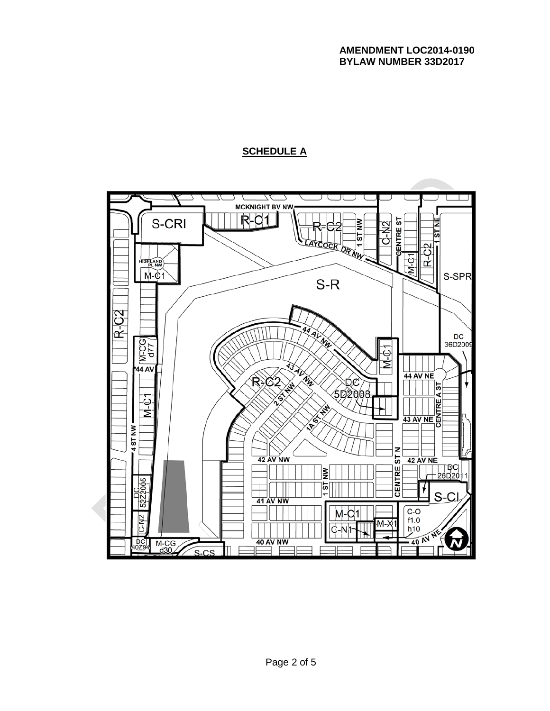# **SCHEDULE A**

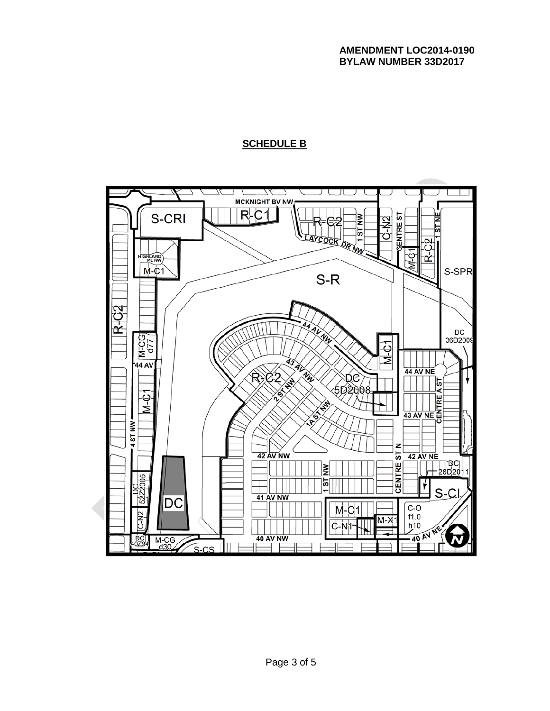## **AMENDMENT LOC2014-0190 BYLAW NUMBER 33D2017**

# **SCHEDULE B**

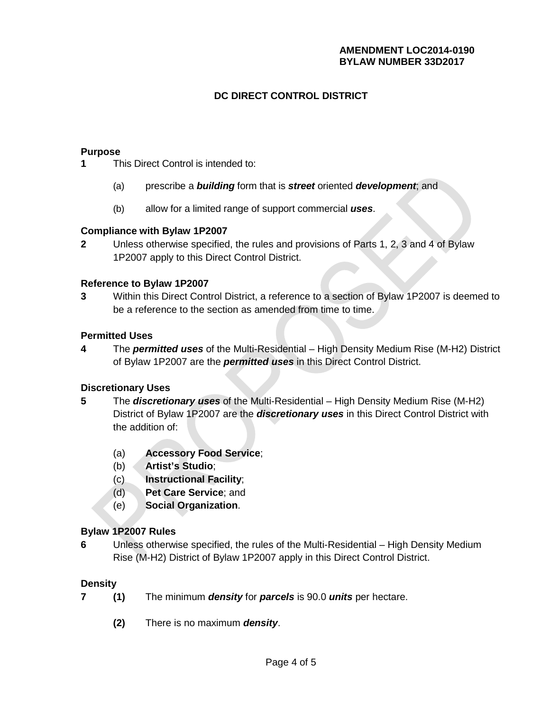# **AMENDMENT LOC2014-0190 BYLAW NUMBER 33D2017**

# **DC DIRECT CONTROL DISTRICT**

### **Purpose**

**1** This Direct Control is intended to:

- (a) prescribe a *building* form that is *street* oriented *development*; and
- (b) allow for a limited range of support commercial *uses*.

#### **Compliance with Bylaw 1P2007**

**2** Unless otherwise specified, the rules and provisions of Parts 1, 2, 3 and 4 of Bylaw 1P2007 apply to this Direct Control District.

### **Reference to Bylaw 1P2007**

**3** Within this Direct Control District, a reference to a section of Bylaw 1P2007 is deemed to be a reference to the section as amended from time to time.

# **Permitted Uses**

**4** The *permitted uses* of the Multi-Residential – High Density Medium Rise (M-H2) District of Bylaw 1P2007 are the *permitted uses* in this Direct Control District.

### **Discretionary Uses**

- **5** The *discretionary uses* of the Multi-Residential High Density Medium Rise (M-H2) District of Bylaw 1P2007 are the *discretionary uses* in this Direct Control District with the addition of:
	- (a) **Accessory Food Service**;
	- (b) **Artist's Studio**;
	- (c) **Instructional Facility**;
	- (d) **Pet Care Service**; and
	- (e) **Social Organization**.

# **Bylaw 1P2007 Rules**

**6** Unless otherwise specified, the rules of the Multi-Residential – High Density Medium Rise (M-H2) District of Bylaw 1P2007 apply in this Direct Control District.

#### **Density**

- **7 (1)** The minimum *density* for *parcels* is 90.0 *units* per hectare.
	- **(2)** There is no maximum *density*.